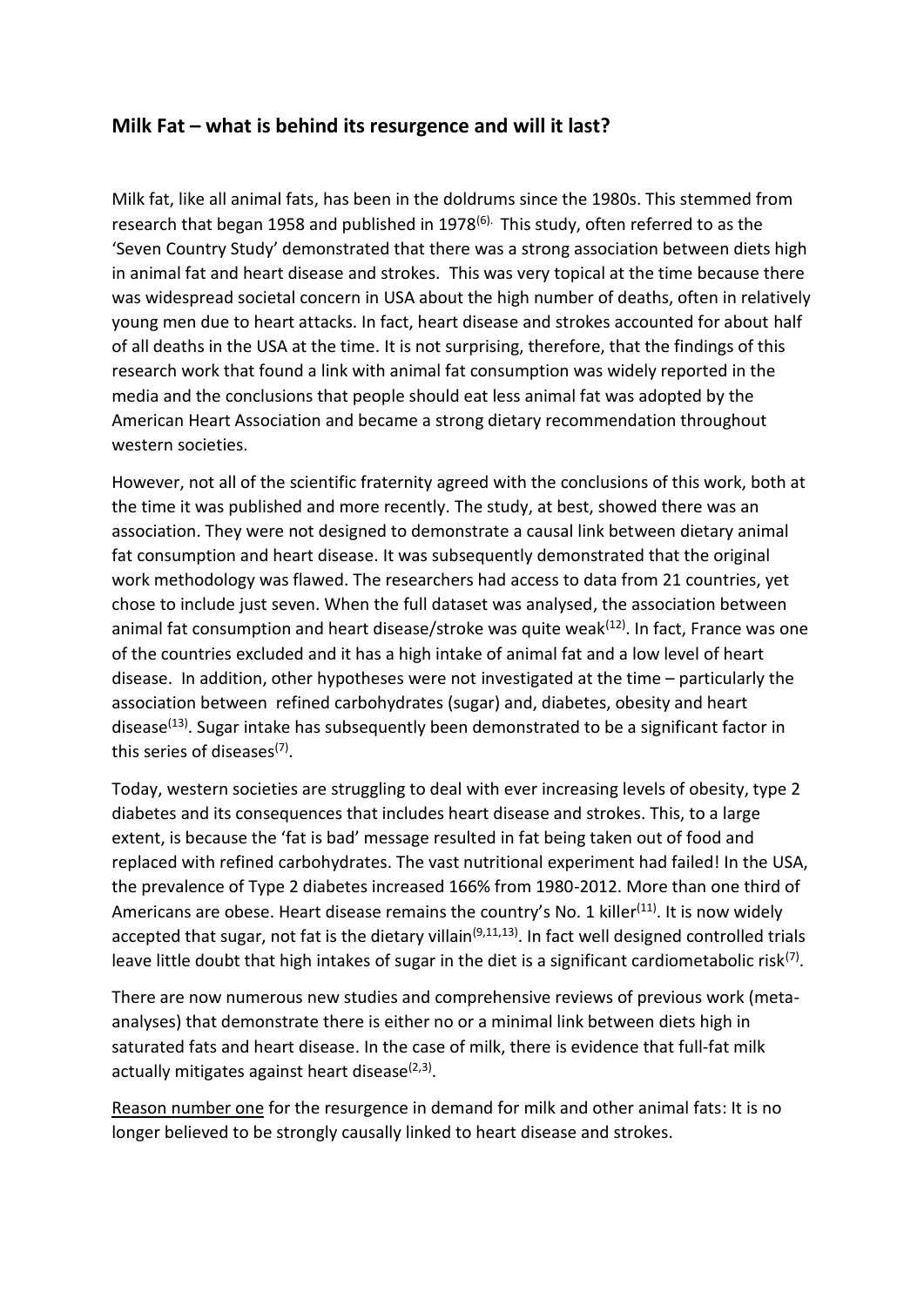## **Milk Fat – what is behind its resurgence and will it last?**

Milk fat, like all animal fats, has been in the doldrums since the 1980s. This stemmed from research that began 1958 and published in 1978<sup>(6).</sup> This study, often referred to as the 'Seven Country Study' demonstrated that there was a strong association between diets high in animal fat and heart disease and strokes. This was very topical at the time because there was widespread societal concern in USA about the high number of deaths, often in relatively young men due to heart attacks. In fact, heart disease and strokes accounted for about half of all deaths in the USA at the time. It is not surprising, therefore, that the findings of this research work that found a link with animal fat consumption was widely reported in the media and the conclusions that people should eat less animal fat was adopted by the American Heart Association and became a strong dietary recommendation throughout western societies.

However, not all of the scientific fraternity agreed with the conclusions of this work, both at the time it was published and more recently. The study, at best, showed there was an association. They were not designed to demonstrate a causal link between dietary animal fat consumption and heart disease. It was subsequently demonstrated that the original work methodology was flawed. The researchers had access to data from 21 countries, yet chose to include just seven. When the full dataset was analysed, the association between animal fat consumption and heart disease/stroke was quite weak<sup>(12)</sup>. In fact, France was one of the countries excluded and it has a high intake of animal fat and a low level of heart disease. In addition, other hypotheses were not investigated at the time – particularly the association between refined carbohydrates (sugar) and, diabetes, obesity and heart disease<sup>(13)</sup>. Sugar intake has subsequently been demonstrated to be a significant factor in this series of diseases<sup>(7)</sup>.

Today, western societies are struggling to deal with ever increasing levels of obesity, type 2 diabetes and its consequences that includes heart disease and strokes. This, to a large extent, is because the 'fat is bad' message resulted in fat being taken out of food and replaced with refined carbohydrates. The vast nutritional experiment had failed! In the USA, the prevalence of Type 2 diabetes increased 166% from 1980-2012. More than one third of Americans are obese. Heart disease remains the country's No. 1 killer<sup>(11)</sup>. It is now widely accepted that sugar, not fat is the dietary villain<sup>(9,11,13)</sup>. In fact well designed controlled trials leave little doubt that high intakes of sugar in the diet is a significant cardiometabolic risk<sup>(7)</sup>.

There are now numerous new studies and comprehensive reviews of previous work (metaanalyses) that demonstrate there is either no or a minimal link between diets high in saturated fats and heart disease. In the case of milk, there is evidence that full-fat milk actually mitigates against heart disease<sup>(2,3)</sup>.

Reason number one for the resurgence in demand for milk and other animal fats: It is no longer believed to be strongly causally linked to heart disease and strokes.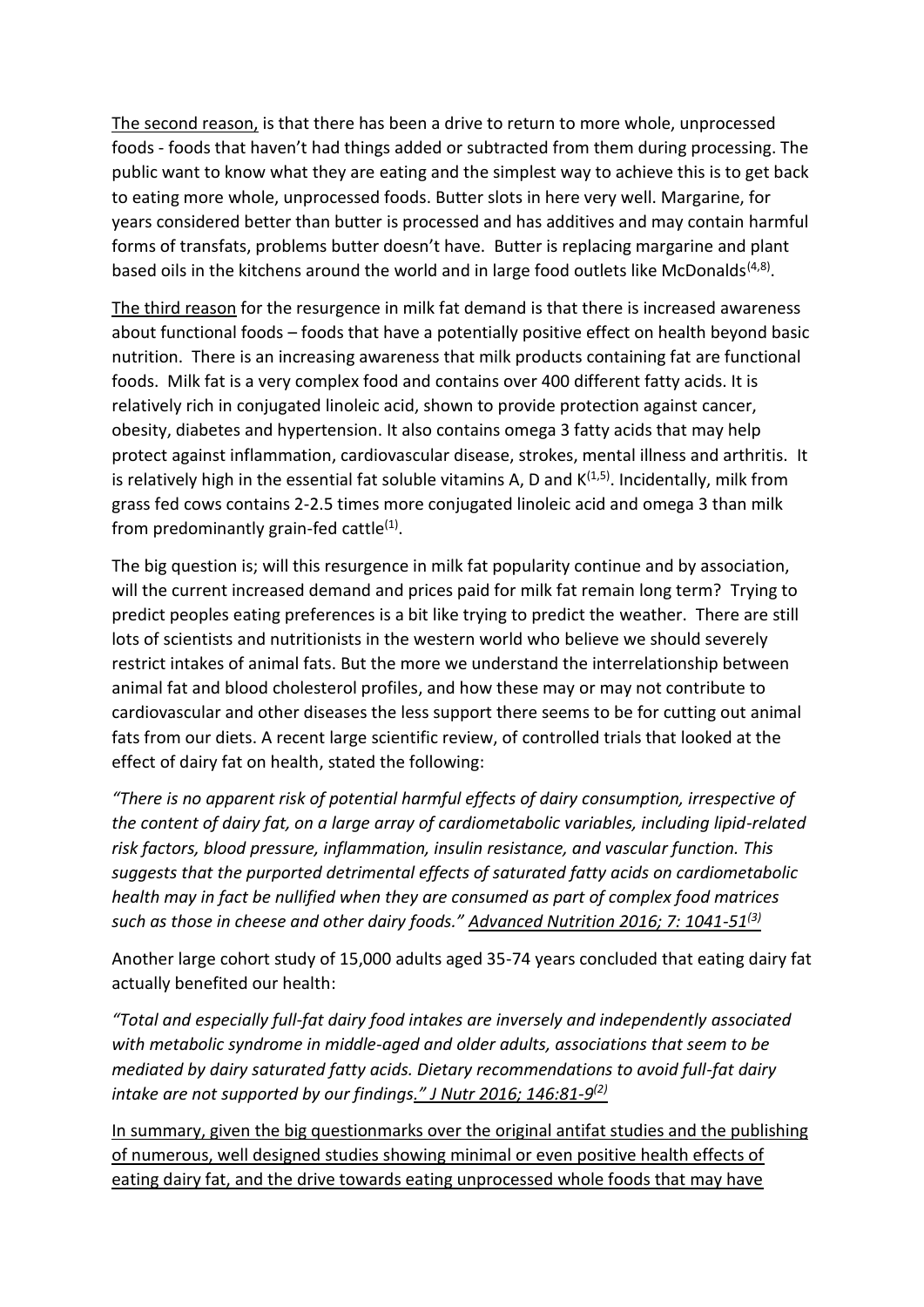The second reason, is that there has been a drive to return to more whole, unprocessed foods - foods that haven't had things added or subtracted from them during processing. The public want to know what they are eating and the simplest way to achieve this is to get back to eating more whole, unprocessed foods. Butter slots in here very well. Margarine, for years considered better than butter is processed and has additives and may contain harmful forms of transfats, problems butter doesn't have. Butter is replacing margarine and plant based oils in the kitchens around the world and in large food outlets like McDonalds<sup> $(4,8)$ </sup>.

The third reason for the resurgence in milk fat demand is that there is increased awareness about functional foods – foods that have a potentially positive effect on health beyond basic nutrition. There is an increasing awareness that milk products containing fat are functional foods. Milk fat is a very complex food and contains over 400 different fatty acids. It is relatively rich in conjugated linoleic acid, shown to provide protection against cancer, obesity, diabetes and hypertension. It also contains omega 3 fatty acids that may help protect against inflammation, cardiovascular disease, strokes, mental illness and arthritis. It is relatively high in the essential fat soluble vitamins A, D and  $K^{(1,5)}$ . Incidentally, milk from grass fed cows contains 2-2.5 times more conjugated linoleic acid and omega 3 than milk from predominantly grain-fed cattle $<sup>(1)</sup>$ .</sup>

The big question is; will this resurgence in milk fat popularity continue and by association, will the current increased demand and prices paid for milk fat remain long term? Trying to predict peoples eating preferences is a bit like trying to predict the weather. There are still lots of scientists and nutritionists in the western world who believe we should severely restrict intakes of animal fats. But the more we understand the interrelationship between animal fat and blood cholesterol profiles, and how these may or may not contribute to cardiovascular and other diseases the less support there seems to be for cutting out animal fats from our diets. A recent large scientific review, of controlled trials that looked at the effect of dairy fat on health, stated the following:

*"There is no apparent risk of potential harmful effects of dairy consumption, irrespective of the content of dairy fat, on a large array of cardiometabolic variables, including lipid-related risk factors, blood pressure, inflammation, insulin resistance, and vascular function. This suggests that the purported detrimental effects of saturated fatty acids on cardiometabolic health may in fact be nullified when they are consumed as part of complex food matrices such as those in cheese and other dairy foods." Advanced Nutrition 2016; 7: 1041-51(3)*

Another large cohort study of 15,000 adults aged 35-74 years concluded that eating dairy fat actually benefited our health:

*"Total and especially full-fat dairy food intakes are inversely and independently associated with metabolic syndrome in middle-aged and older adults, associations that seem to be mediated by dairy saturated fatty acids. Dietary recommendations to avoid full-fat dairy intake are not supported by our findings." J Nutr 2016; 146:81-9 (2)*

In summary, given the big questionmarks over the original antifat studies and the publishing of numerous, well designed studies showing minimal or even positive health effects of eating dairy fat, and the drive towards eating unprocessed whole foods that may have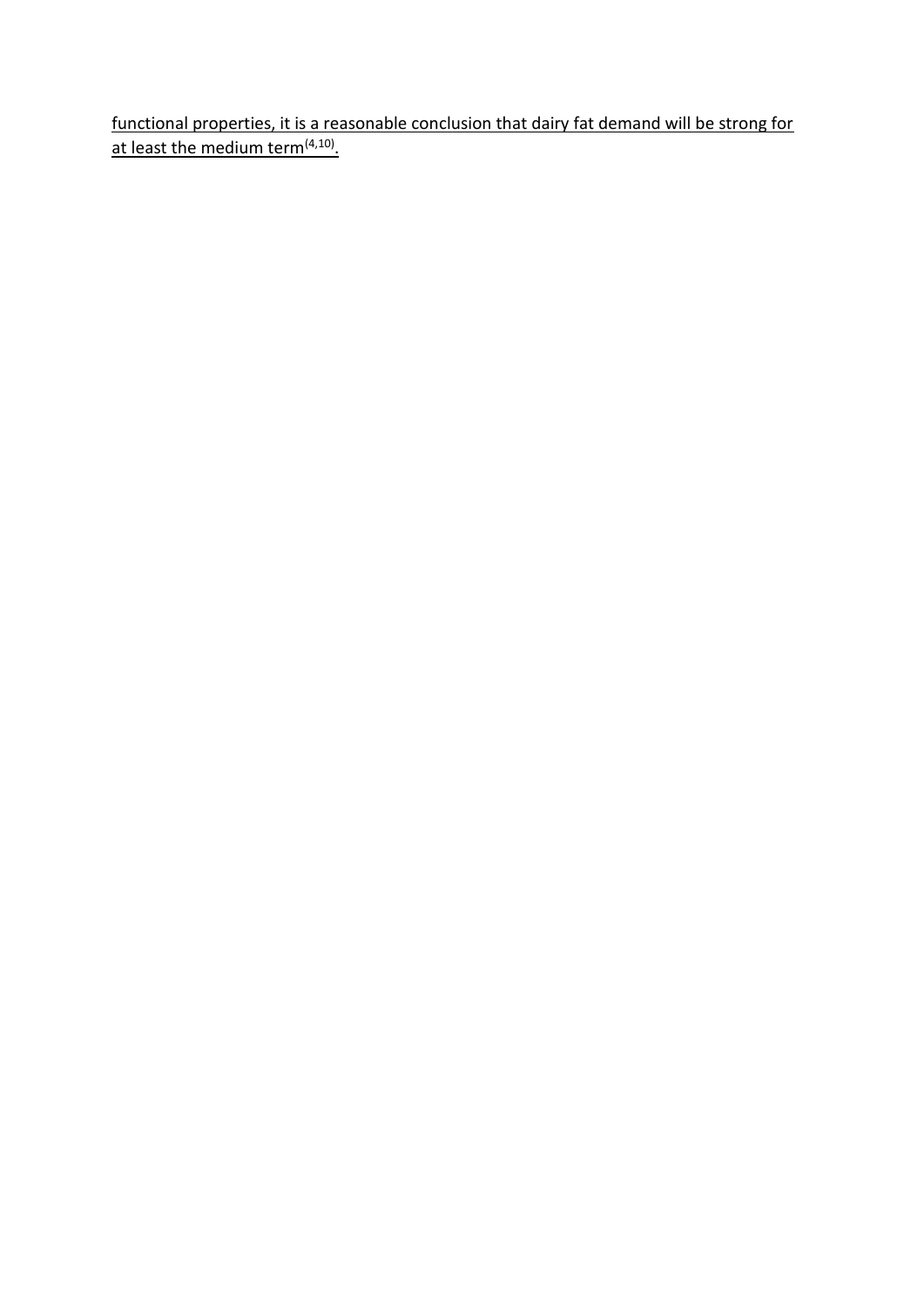functional properties, it is a reasonable conclusion that dairy fat demand will be strong for at least the medium term<sup>(4,10)</sup>.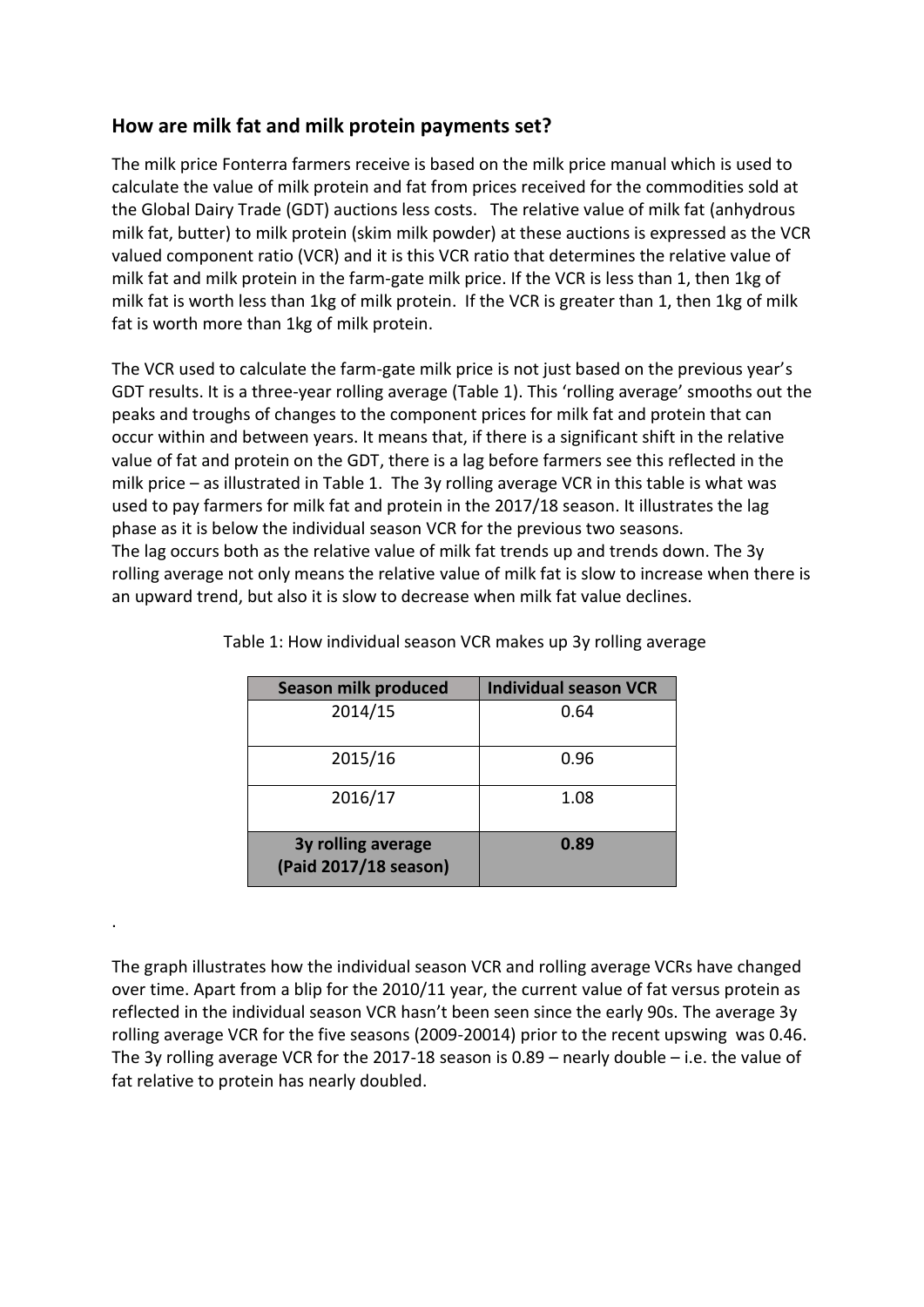## **How are milk fat and milk protein payments set?**

The milk price Fonterra farmers receive is based on the milk price manual which is used to calculate the value of milk protein and fat from prices received for the commodities sold at the Global Dairy Trade (GDT) auctions less costs. The relative value of milk fat (anhydrous milk fat, butter) to milk protein (skim milk powder) at these auctions is expressed as the VCR valued component ratio (VCR) and it is this VCR ratio that determines the relative value of milk fat and milk protein in the farm-gate milk price. If the VCR is less than 1, then 1kg of milk fat is worth less than 1kg of milk protein. If the VCR is greater than 1, then 1kg of milk fat is worth more than 1kg of milk protein.

The VCR used to calculate the farm-gate milk price is not just based on the previous year's GDT results. It is a three-year rolling average (Table 1). This 'rolling average' smooths out the peaks and troughs of changes to the component prices for milk fat and protein that can occur within and between years. It means that, if there is a significant shift in the relative value of fat and protein on the GDT, there is a lag before farmers see this reflected in the milk price – as illustrated in Table 1. The 3y rolling average VCR in this table is what was used to pay farmers for milk fat and protein in the 2017/18 season. It illustrates the lag phase as it is below the individual season VCR for the previous two seasons. The lag occurs both as the relative value of milk fat trends up and trends down. The 3y rolling average not only means the relative value of milk fat is slow to increase when there is an upward trend, but also it is slow to decrease when milk fat value declines.

| <b>Season milk produced</b>                 | <b>Individual season VCR</b> |  |  |  |
|---------------------------------------------|------------------------------|--|--|--|
| 2014/15                                     | 0.64                         |  |  |  |
| 2015/16                                     | 0.96                         |  |  |  |
| 2016/17                                     | 1.08                         |  |  |  |
| 3y rolling average<br>(Paid 2017/18 season) | 0.89                         |  |  |  |

Table 1: How individual season VCR makes up 3y rolling average

The graph illustrates how the individual season VCR and rolling average VCRs have changed over time. Apart from a blip for the 2010/11 year, the current value of fat versus protein as reflected in the individual season VCR hasn't been seen since the early 90s. The average 3y rolling average VCR for the five seasons (2009-20014) prior to the recent upswing was 0.46. The 3y rolling average VCR for the 2017-18 season is 0.89 – nearly double – i.e. the value of fat relative to protein has nearly doubled.

.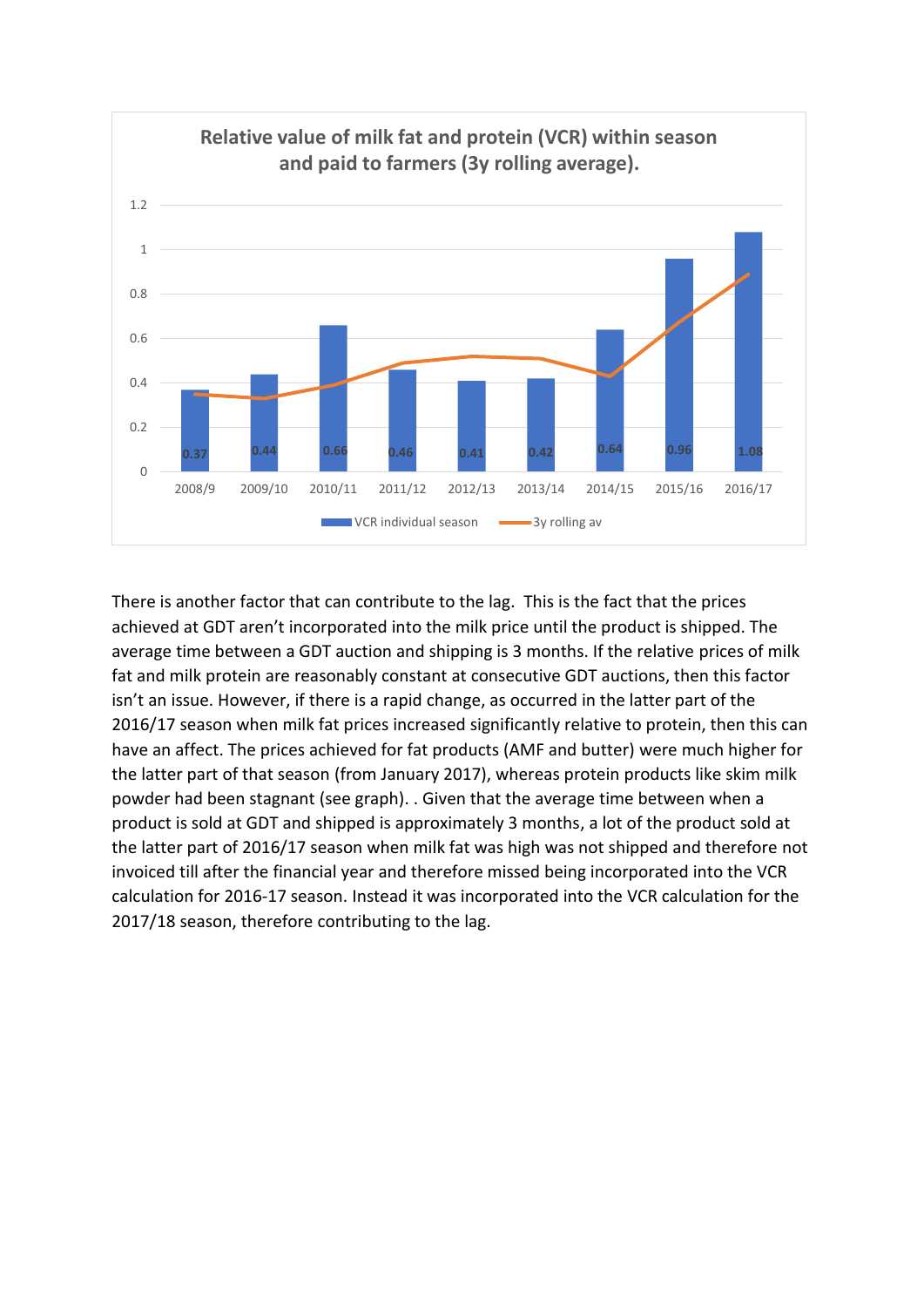

There is another factor that can contribute to the lag. This is the fact that the prices achieved at GDT aren't incorporated into the milk price until the product is shipped. The average time between a GDT auction and shipping is 3 months. If the relative prices of milk fat and milk protein are reasonably constant at consecutive GDT auctions, then this factor isn't an issue. However, if there is a rapid change, as occurred in the latter part of the 2016/17 season when milk fat prices increased significantly relative to protein, then this can have an affect. The prices achieved for fat products (AMF and butter) were much higher for the latter part of that season (from January 2017), whereas protein products like skim milk powder had been stagnant (see graph). . Given that the average time between when a product is sold at GDT and shipped is approximately 3 months, a lot of the product sold at the latter part of 2016/17 season when milk fat was high was not shipped and therefore not invoiced till after the financial year and therefore missed being incorporated into the VCR calculation for 2016-17 season. Instead it was incorporated into the VCR calculation for the 2017/18 season, therefore contributing to the lag.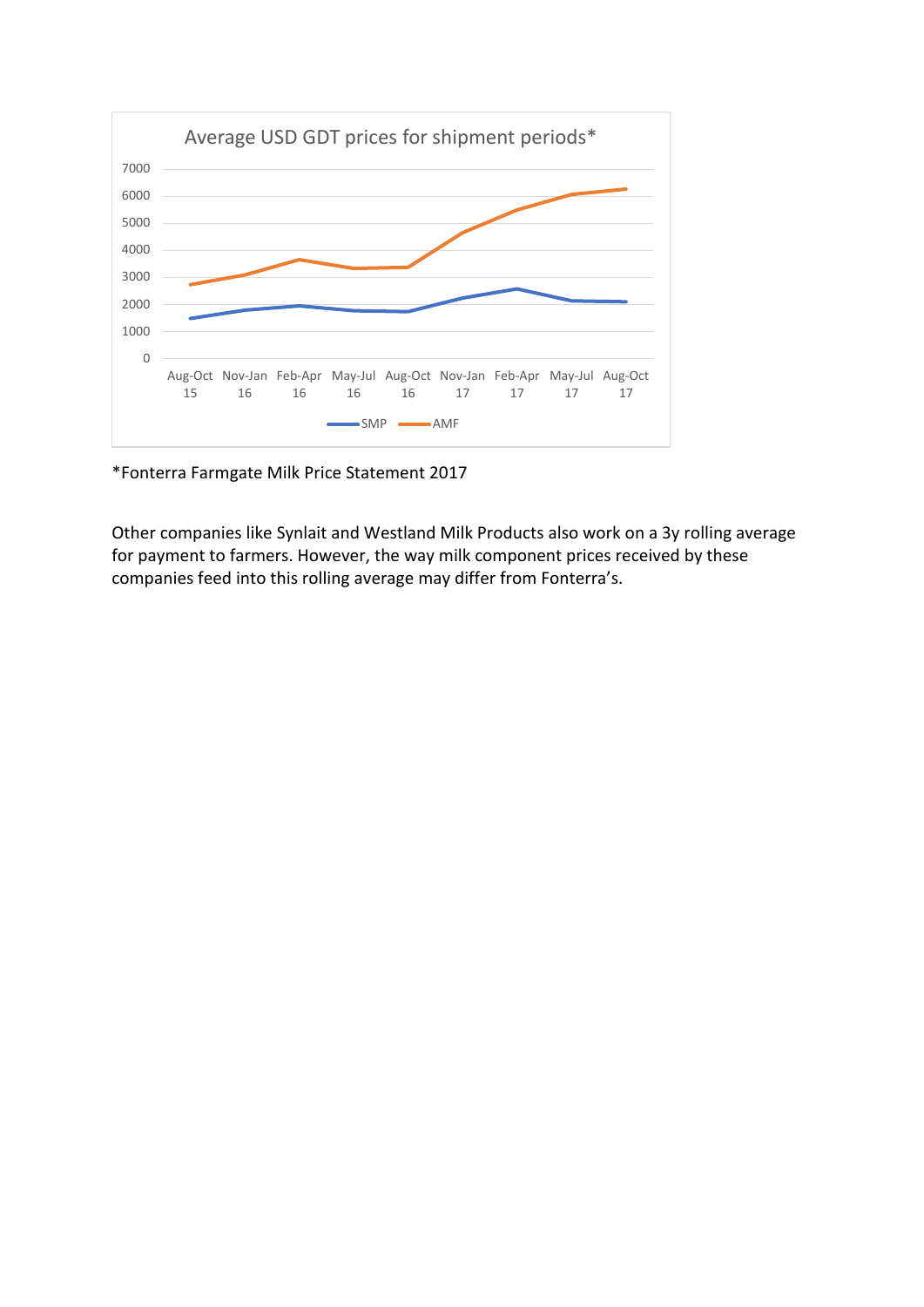

\*Fonterra Farmgate Milk Price Statement 2017

Other companies like Synlait and Westland Milk Products also work on a 3y rolling average for payment to farmers. However, the way milk component prices received by these companies feed into this rolling average may differ from Fonterra's.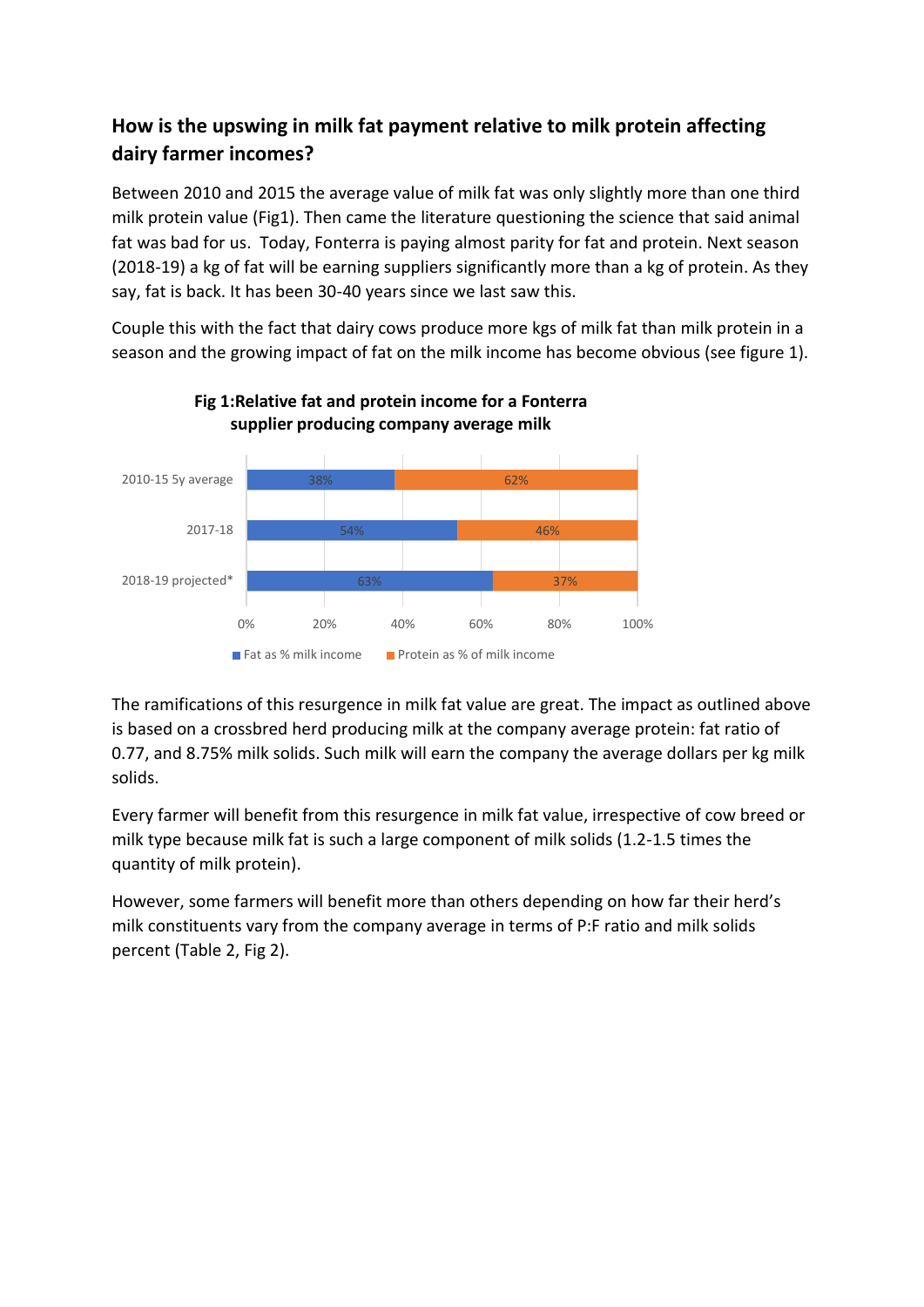## **How is the upswing in milk fat payment relative to milk protein affecting dairy farmer incomes?**

Between 2010 and 2015 the average value of milk fat was only slightly more than one third milk protein value (Fig1). Then came the literature questioning the science that said animal fat was bad for us. Today, Fonterra is paying almost parity for fat and protein. Next season (2018-19) a kg of fat will be earning suppliers significantly more than a kg of protein. As they say, fat is back. It has been 30-40 years since we last saw this.

Couple this with the fact that dairy cows produce more kgs of milk fat than milk protein in a season and the growing impact of fat on the milk income has become obvious (see figure 1).



**Fig 1:Relative fat and protein income for a Fonterra supplier producing company average milk** 

The ramifications of this resurgence in milk fat value are great. The impact as outlined above is based on a crossbred herd producing milk at the company average protein: fat ratio of 0.77, and 8.75% milk solids. Such milk will earn the company the average dollars per kg milk solids.

Every farmer will benefit from this resurgence in milk fat value, irrespective of cow breed or milk type because milk fat is such a large component of milk solids (1.2-1.5 times the quantity of milk protein).

However, some farmers will benefit more than others depending on how far their herd's milk constituents vary from the company average in terms of P:F ratio and milk solids percent (Table 2, Fig 2).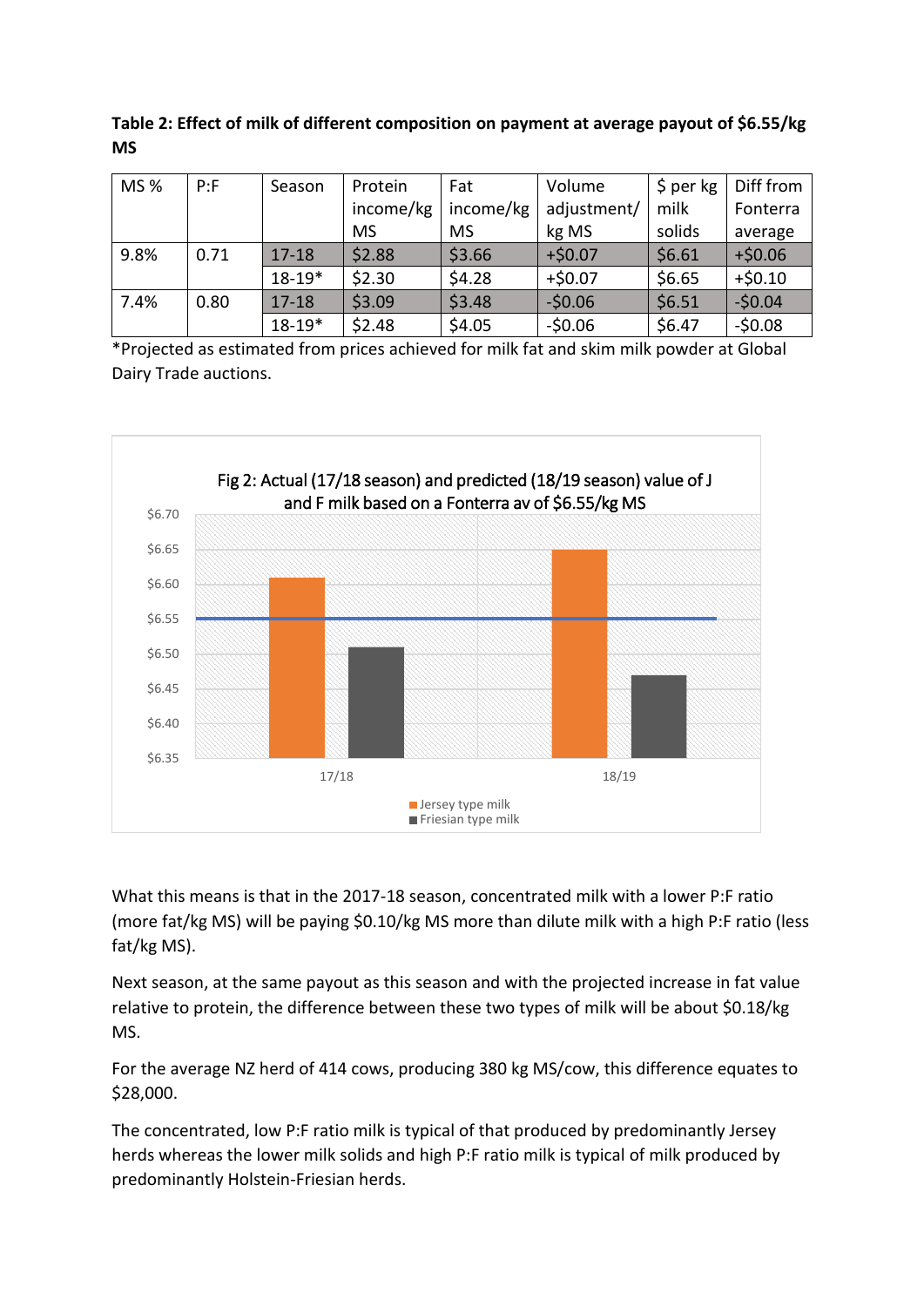**Table 2: Effect of milk of different composition on payment at average payout of \$6.55/kg MS**

| MS % | P: F | Season     | Protein   | Fat       | Volume      | $$$ per kg | Diff from |
|------|------|------------|-----------|-----------|-------------|------------|-----------|
|      |      |            | income/kg | income/kg | adjustment/ | milk       | Fonterra  |
|      |      |            | <b>MS</b> | <b>MS</b> | kg MS       | solids     | average   |
| 9.8% | 0.71 | $17 - 18$  | \$2.88    | \$3.66    | $+ $0.07$   | \$6.61     | $+ $0.06$ |
|      |      | $18 - 19*$ | \$2.30    | \$4.28    | $+50.07$    | \$6.65     | $+50.10$  |
| 7.4% | 0.80 | $17 - 18$  | \$3.09    | \$3.48    | $-50.06$    | \$6.51     | $-50.04$  |
|      |      | $18 - 19*$ | \$2.48    | \$4.05    | $-50.06$    | \$6.47     | $-50.08$  |

\*Projected as estimated from prices achieved for milk fat and skim milk powder at Global Dairy Trade auctions.



What this means is that in the 2017-18 season, concentrated milk with a lower P:F ratio (more fat/kg MS) will be paying \$0.10/kg MS more than dilute milk with a high P:F ratio (less fat/kg MS).

Next season, at the same payout as this season and with the projected increase in fat value relative to protein, the difference between these two types of milk will be about \$0.18/kg MS.

For the average NZ herd of 414 cows, producing 380 kg MS/cow, this difference equates to \$28,000.

The concentrated, low P:F ratio milk is typical of that produced by predominantly Jersey herds whereas the lower milk solids and high P:F ratio milk is typical of milk produced by predominantly Holstein-Friesian herds.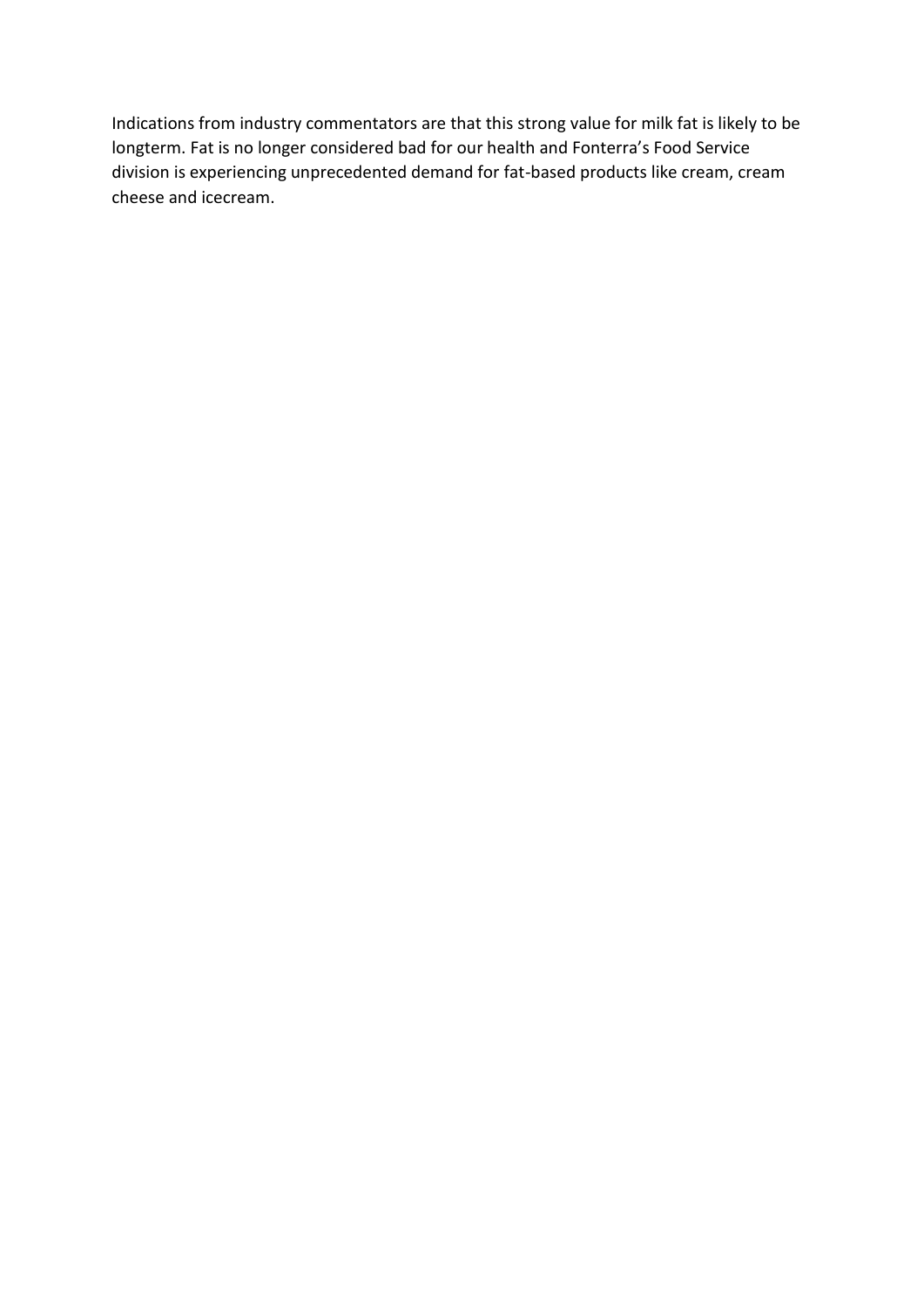Indications from industry commentators are that this strong value for milk fat is likely to be longterm. Fat is no longer considered bad for our health and Fonterra's Food Service division is experiencing unprecedented demand for fat-based products like cream, cream cheese and icecream.